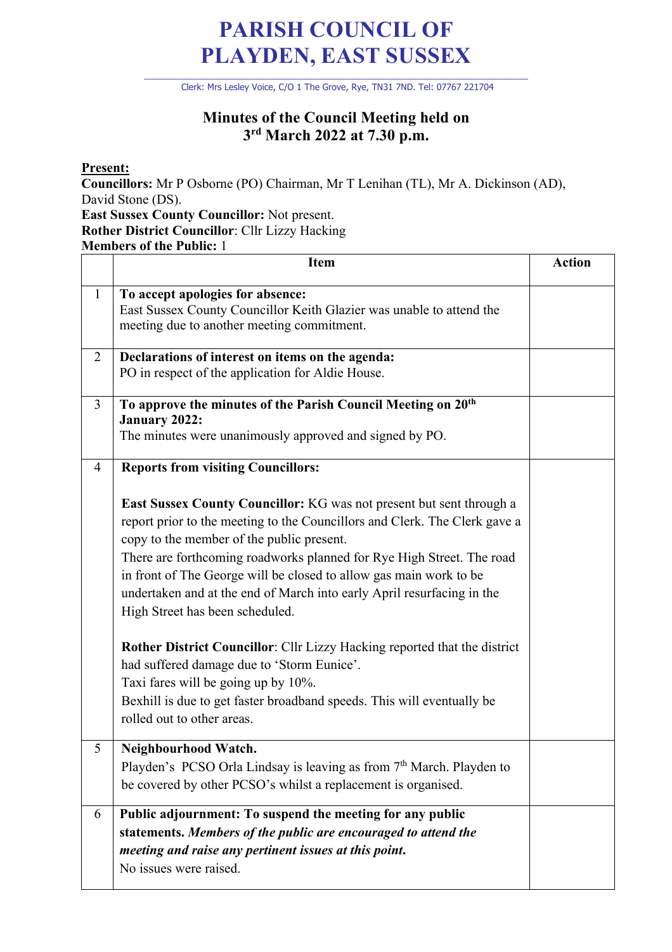## **PARISH COUNCIL OF PLAYDEN, EAST SUSSEX**

\_\_\_\_\_\_\_\_\_\_\_\_\_\_\_\_\_\_\_\_\_\_\_\_\_\_\_\_\_\_\_\_\_\_\_\_\_\_\_\_\_\_\_\_\_\_\_\_\_\_\_\_\_\_\_\_\_\_\_\_\_\_\_\_\_\_\_\_ Clerk: Mrs Lesley Voice, C/O 1 The Grove, Rye, TN31 7ND. Tel: 07767 221704

## **Minutes of the Council Meeting held on 3rd March 2022 at 7.30 p.m.**

**Present:**

**Councillors:** Mr P Osborne (PO) Chairman, Mr T Lenihan (TL), Mr A. Dickinson (AD), David Stone (DS).

**East Sussex County Councillor:** Not present. **Rother District Councillor**: Cllr Lizzy Hacking **Members of the Public:** 1

|              | <b>Item</b>                                                                                                                                                                                                                                                                                                                                                                                                                                                                                                                                                                                                                                                                                                                                                                               | <b>Action</b> |
|--------------|-------------------------------------------------------------------------------------------------------------------------------------------------------------------------------------------------------------------------------------------------------------------------------------------------------------------------------------------------------------------------------------------------------------------------------------------------------------------------------------------------------------------------------------------------------------------------------------------------------------------------------------------------------------------------------------------------------------------------------------------------------------------------------------------|---------------|
| $\mathbf{1}$ | To accept apologies for absence:<br>East Sussex County Councillor Keith Glazier was unable to attend the<br>meeting due to another meeting commitment.                                                                                                                                                                                                                                                                                                                                                                                                                                                                                                                                                                                                                                    |               |
| 2            | Declarations of interest on items on the agenda:<br>PO in respect of the application for Aldie House.                                                                                                                                                                                                                                                                                                                                                                                                                                                                                                                                                                                                                                                                                     |               |
| 3            | To approve the minutes of the Parish Council Meeting on 20 <sup>th</sup><br><b>January 2022:</b><br>The minutes were unanimously approved and signed by PO.                                                                                                                                                                                                                                                                                                                                                                                                                                                                                                                                                                                                                               |               |
| 4            | <b>Reports from visiting Councillors:</b><br><b>East Sussex County Councillor:</b> KG was not present but sent through a<br>report prior to the meeting to the Councillors and Clerk. The Clerk gave a<br>copy to the member of the public present.<br>There are forthcoming roadworks planned for Rye High Street. The road<br>in front of The George will be closed to allow gas main work to be<br>undertaken and at the end of March into early April resurfacing in the<br>High Street has been scheduled.<br>Rother District Councillor: Cllr Lizzy Hacking reported that the district<br>had suffered damage due to 'Storm Eunice'.<br>Taxi fares will be going up by 10%.<br>Bexhill is due to get faster broadband speeds. This will eventually be<br>rolled out to other areas. |               |
| 5            | Neighbourhood Watch.<br>Playden's PCSO Orla Lindsay is leaving as from 7th March. Playden to<br>be covered by other PCSO's whilst a replacement is organised.                                                                                                                                                                                                                                                                                                                                                                                                                                                                                                                                                                                                                             |               |
| 6            | Public adjournment: To suspend the meeting for any public<br>statements. Members of the public are encouraged to attend the<br>meeting and raise any pertinent issues at this point.<br>No issues were raised.                                                                                                                                                                                                                                                                                                                                                                                                                                                                                                                                                                            |               |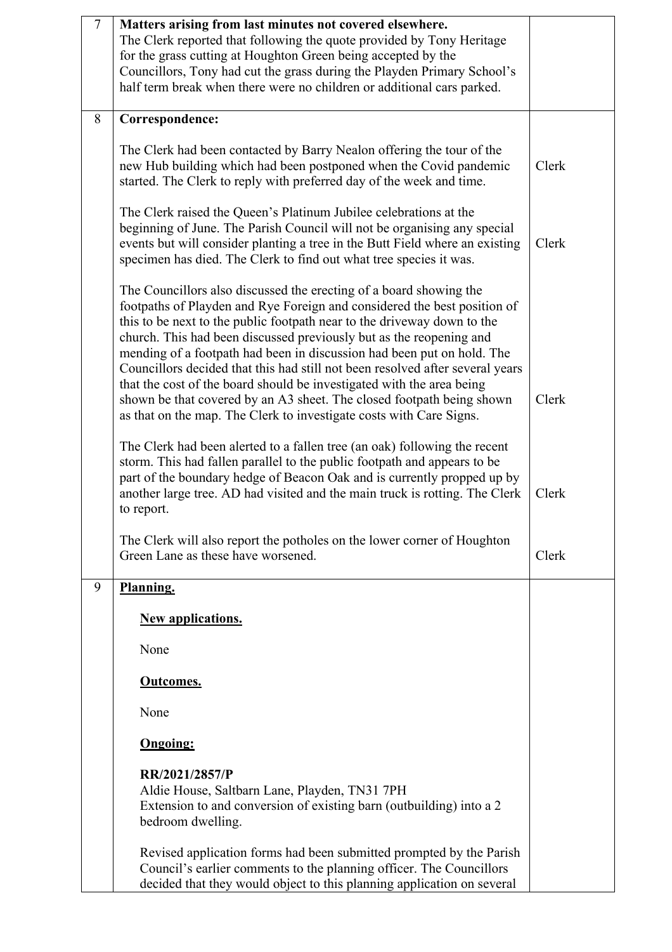| $\overline{7}$ | Matters arising from last minutes not covered elsewhere.<br>The Clerk reported that following the quote provided by Tony Heritage<br>for the grass cutting at Houghton Green being accepted by the<br>Councillors, Tony had cut the grass during the Playden Primary School's<br>half term break when there were no children or additional cars parked.                                                                                                                                                                                                                                                                                                                              |       |
|----------------|--------------------------------------------------------------------------------------------------------------------------------------------------------------------------------------------------------------------------------------------------------------------------------------------------------------------------------------------------------------------------------------------------------------------------------------------------------------------------------------------------------------------------------------------------------------------------------------------------------------------------------------------------------------------------------------|-------|
| 8              | Correspondence:                                                                                                                                                                                                                                                                                                                                                                                                                                                                                                                                                                                                                                                                      |       |
|                | The Clerk had been contacted by Barry Nealon offering the tour of the<br>new Hub building which had been postponed when the Covid pandemic<br>started. The Clerk to reply with preferred day of the week and time.                                                                                                                                                                                                                                                                                                                                                                                                                                                                   | Clerk |
|                | The Clerk raised the Queen's Platinum Jubilee celebrations at the<br>beginning of June. The Parish Council will not be organising any special<br>events but will consider planting a tree in the Butt Field where an existing<br>specimen has died. The Clerk to find out what tree species it was.                                                                                                                                                                                                                                                                                                                                                                                  | Clerk |
|                | The Councillors also discussed the erecting of a board showing the<br>footpaths of Playden and Rye Foreign and considered the best position of<br>this to be next to the public footpath near to the driveway down to the<br>church. This had been discussed previously but as the reopening and<br>mending of a footpath had been in discussion had been put on hold. The<br>Councillors decided that this had still not been resolved after several years<br>that the cost of the board should be investigated with the area being<br>shown be that covered by an A3 sheet. The closed footpath being shown<br>as that on the map. The Clerk to investigate costs with Care Signs. | Clerk |
|                | The Clerk had been alerted to a fallen tree (an oak) following the recent<br>storm. This had fallen parallel to the public footpath and appears to be<br>part of the boundary hedge of Beacon Oak and is currently propped up by<br>another large tree. AD had visited and the main truck is rotting. The Clerk<br>to report.                                                                                                                                                                                                                                                                                                                                                        | Clerk |
|                | The Clerk will also report the potholes on the lower corner of Houghton<br>Green Lane as these have worsened.                                                                                                                                                                                                                                                                                                                                                                                                                                                                                                                                                                        | Clerk |
| 9              | Planning.                                                                                                                                                                                                                                                                                                                                                                                                                                                                                                                                                                                                                                                                            |       |
|                | <b>New applications.</b>                                                                                                                                                                                                                                                                                                                                                                                                                                                                                                                                                                                                                                                             |       |
|                | None                                                                                                                                                                                                                                                                                                                                                                                                                                                                                                                                                                                                                                                                                 |       |
|                | Outcomes.                                                                                                                                                                                                                                                                                                                                                                                                                                                                                                                                                                                                                                                                            |       |
|                | None                                                                                                                                                                                                                                                                                                                                                                                                                                                                                                                                                                                                                                                                                 |       |
|                | <b>Ongoing:</b>                                                                                                                                                                                                                                                                                                                                                                                                                                                                                                                                                                                                                                                                      |       |
|                | RR/2021/2857/P<br>Aldie House, Saltbarn Lane, Playden, TN31 7PH<br>Extension to and conversion of existing barn (outbuilding) into a 2<br>bedroom dwelling.                                                                                                                                                                                                                                                                                                                                                                                                                                                                                                                          |       |
|                | Revised application forms had been submitted prompted by the Parish<br>Council's earlier comments to the planning officer. The Councillors<br>decided that they would object to this planning application on several                                                                                                                                                                                                                                                                                                                                                                                                                                                                 |       |